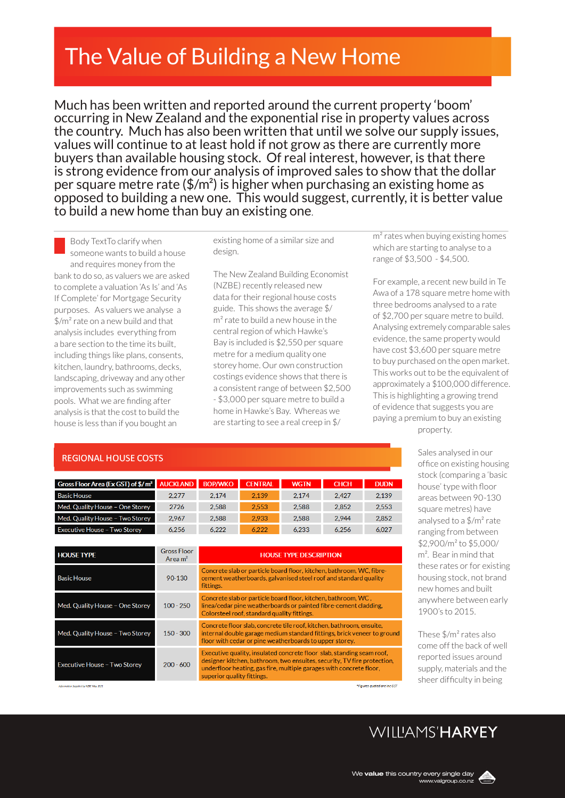# The Value of Building a New Home

Much has been written and reported around the current property 'boom' occurring in New Zealand and the exponential rise in property values across the country. Much has also been written that until we solve our supply issues, values will continue to at least hold if not grow as there are currently more buyers than available housing stock. Of real interest, however, is that there is strong evidence from our analysis of improved sales to show that the dollar per square metre rate  $(\frac{2}{m^2})$  is higher when purchasing an existing home as opposed to building a new one. This would suggest, currently, it is better value to build a new home than buy an existing one*.*

Body TextTo clarify when someone wants to build a house and requires money from the bank to do so, as valuers we are asked to complete a valuation 'As Is' and 'As If Complete' for Mortgage Security purposes. As valuers we analyse a \$/m² rate on a new build and that analysis includes everything from a bare section to the time its built, including things like plans, consents, kitchen, laundry, bathrooms, decks, landscaping, driveway and any other improvements such as swimming pools. What we are finding after analysis is that the cost to build the house is less than if you bought an

#### existing home of a similar size and design.

The New Zealand Building Economist (NZBE) recently released new data for their regional house costs guide. This shows the average \$/ m² rate to build a new house in the central region of which Hawke's Bay is included is \$2,550 per square metre for a medium quality one storey home. Our own construction costings evidence shows that there is a consistent range of between \$2,500 - \$3,000 per square metre to build a home in Hawke's Bay. Whereas we are starting to see a real creep in \$/

m<sup>2</sup> rates when buying existing homes which are starting to analyse to a range of \$3,500 - \$4,500.

For example, a recent new build in Te Awa of a 178 square metre home with three bedrooms analysed to a rate of \$2,700 per square metre to build. Analysing extremely comparable sales evidence, the same property would have cost \$3,600 per square metre to buy purchased on the open market. This works out to be the equivalent of approximately a \$100,000 difference. This is highlighting a growing trend of evidence that suggests you are paying a premium to buy an existing property.

### **REGIONAL HOUSE COSTS**

| Gross Floor Area (Ex GST) of \$/ m <sup>2</sup> AUCKLAND |       | <b>BOP/WKO</b> | <b>CENTRAL</b> | <b>WGTN</b> | <b>CHCH</b> | <b>DUDN</b> |
|----------------------------------------------------------|-------|----------------|----------------|-------------|-------------|-------------|
| <b>Basic House</b>                                       | 2.277 | 2.174          | 2.139          | 2.174       | 2.427       | 2.139       |
| Med. Quality House - One Storey                          | 2726  | 2.588          | 2.553          | 2.588       | 2.852       | 2.553       |
| Med. Quality House - Two Storey                          | 2.967 | 2.588          | 2.933          | 2.588       | 2.944       | 2.852       |
| <b>Executive House - Two Storey</b>                      | 6256  | 6 222          | 6.222          | 6.233       | 6.256       | 6027        |

| <b>HOUSE TYPE</b>               | <b>Gross Floor</b><br>Area $m2$ | <b>HOUSE TYPE DESCRIPTION</b>                                                                                                                                                                                                                         |
|---------------------------------|---------------------------------|-------------------------------------------------------------------------------------------------------------------------------------------------------------------------------------------------------------------------------------------------------|
| <b>Basic House</b>              | 90-130                          | Concrete slab or particle board floor, kitchen, bathroom, WC, fibre-<br>cement weatherboards, galvanised steel roof and standard quality<br>fittings.                                                                                                 |
| Med. Quality House - One Storey | $100 - 250$                     | Concrete slab or particle board floor, kitchen, bathroom, WC,<br>linea/cedar pine weatherboards or painted fibre-cement cladding.<br>Colorsteel roof, standard quality fittings.                                                                      |
| Med. Quality House - Two Storey | $150 - 300$                     | Concrete floor slab, concrete tile roof, kitchen, bathroom, ensuite,<br>internal double garage medium standard fittings, brick veneer to groun<br>floor with cedar or pine weatherboards to upper storey.                                             |
| Executive House - Two Storey    | $200 - 600$                     | Executive quality, insulated concrete floor slab, standing seam roof,<br>designer kitchen, bathroom, two ensuites, security. TV fire protection.<br>underfloor heating, gas fire, multiple garages with concrete floor,<br>superior quality fittings. |

.<br>Figures quoted are inc GS

Sales analysed in our office on existing housing stock (comparing a 'basic house' type with floor areas between 90-130 square metres) have analysed to a  $\frac{4}{3}$ m<sup>2</sup> rate ranging from between \$2,900/m² to \$5,000/ m². Bear in mind that these rates or for existing housing stock, not brand new homes and built anywhere between early 1900's to 2015.

These \$/m² rates also come off the back of well reported issues around supply, materials and the sheer difficulty in being

### WIIIIAMS'HARVEY